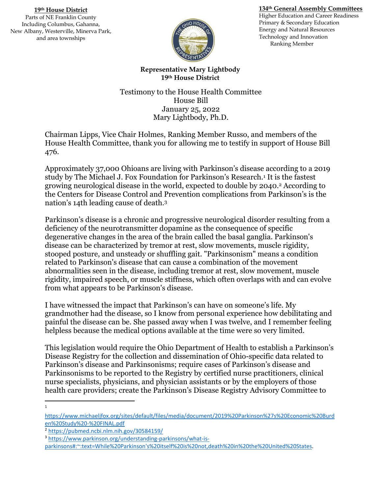## **134th General Assembly Committees**

**19th House District** Parts of NE Franklin County Including Columbus, Gahanna, New Albany, Westerville, Minerva Park, and area townships



Higher Education and Career Readiness Primary & Secondary Education Energy and Natural Resources Technology and Innovation Ranking Member

**Representative Mary Lightbody 19th House District**

Testimony to the House Health Committee House Bill January 25, 2022 Mary Lightbody, Ph.D.

Chairman Lipps, Vice Chair Holmes, Ranking Member Russo, and members of the House Health Committee, thank you for allowing me to testify in support of House Bill 476.

Approximately 37,000 Ohioans are living with Parkinson's disease according to a 2019 study by The Michael J. Fox Foundation for Parkinson's Research.<sup>1</sup> It is the fastest growing neurological disease in the world, expected to double by 2040.<sup>2</sup> According to the Centers for Disease Control and Prevention complications from Parkinson's is the nation's 14th leading cause of death.<sup>3</sup>

Parkinson's disease is a chronic and progressive neurological disorder resulting from a deficiency of the neurotransmitter dopamine as the consequence of specific degenerative changes in the area of the brain called the basal ganglia. Parkinson's disease can be characterized by tremor at rest, slow movements, muscle rigidity, stooped posture, and unsteady or shuffling gait. "Parkinsonism" means a condition related to Parkinson's disease that can cause a combination of the movement abnormalities seen in the disease, including tremor at rest, slow movement, muscle rigidity, impaired speech, or muscle stiffness, which often overlaps with and can evolve from what appears to be Parkinson's disease.

I have witnessed the impact that Parkinson's can have on someone's life. My grandmother had the disease, so I know from personal experience how debilitating and painful the disease can be. She passed away when I was twelve, and I remember feeling helpless because the medical options available at the time were so very limited.

This legislation would require the Ohio Department of Health to establish a Parkinson's Disease Registry for the collection and dissemination of Ohio-specific data related to Parkinson's disease and Parkinsonisms; require cases of Parkinson's disease and Parkinsonisms to be reported to the Registry by certified nurse practitioners, clinical nurse specialists, physicians, and physician assistants or by the employers of those health care providers; create the Parkinson's Disease Registry Advisory Committee to

l 1

[https://www.michaeljfox.org/sites/default/files/media/document/2019%20Parkinson%27s%20Economic%20Burd](https://www.michaeljfox.org/sites/default/files/media/document/2019%20Parkinson%27s%20Economic%20Burden%20Study%20-%20FINAL.pdf) [en%20Study%20-%20FINAL.pdf](https://www.michaeljfox.org/sites/default/files/media/document/2019%20Parkinson%27s%20Economic%20Burden%20Study%20-%20FINAL.pdf)

<sup>2</sup> <https://pubmed.ncbi.nlm.nih.gov/30584159/>

<sup>3</sup> [https://www.parkinson.org/understanding-parkinsons/what-is-](https://www.parkinson.org/understanding-parkinsons/what-is-parkinsons#:~:text=While%20Parkinson)

[parkinsons#:~:text=While%20Parkinson's%20itself%20is%20not,death%20in%20the%20United%20States.](https://www.parkinson.org/understanding-parkinsons/what-is-parkinsons#:~:text=While%20Parkinson)